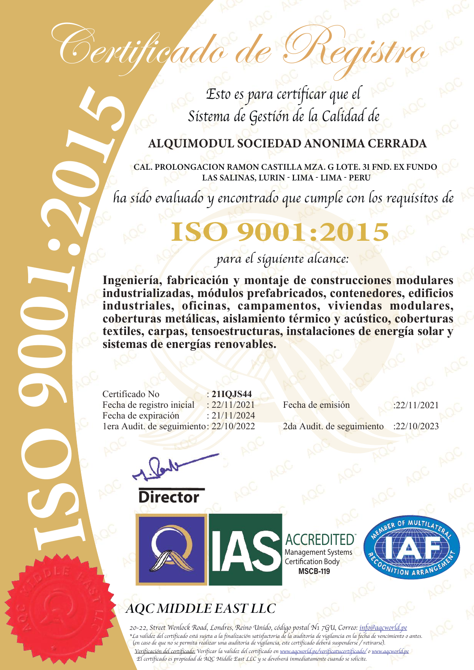Certificado de Registro

Esto es para certificar que el Sistema de Gestión de la Calidad de

#### ALQUIMODUL SOCIEDAD ANONIMA CERRADA

CAL. PROLONGACION RAMON CASTILLA MZA. G LOTE. 31 FND. EX FUNDO LAS SALINAS, LURIN - LIMA - LIMA - PERU

ha sido evaluado y encontrado que cumple con los requisitos de 

# **ISO 9001:2015.00**

### para el siguiente alcance:

**Ingeniería, fabricación y montaje de construcciones modulares industrializadas, módulos prefabricados, contenedores, edificios industriales, oficinas, campamentos, viviendas modulares, coberturas metálicas, aislamiento térmico y acústico, coberturas textiles, carpas, tensoestructuras, instalaciones de energía solar y sistemas de energías renovables.**

Certificado No : **21IQJS44**<br>Fecha de registro inicial : 22/11/2021 Fecha de expiración :  $21/11/2024$ 1era Audit. de seguimiento: 22/10/2022 2da Audit. de seguimiento : :22/10/2023

Fecha de registro inicial : 22/11/2021 Fecha de emisión : 22/11/2021

rector

9

 $\bigcirc$ 

 $\bullet$ 

 $\bullet$ 



**ACCREDITED** Management Systems Certification Body **MSCB-119** n



### **AQCMIDDLE EAST LLC**

20-22, Street Wenlock Road, Londres, Reino Unido, código postal N1 7GU, Correo: info@aqcworld.pe \*La validez del certificado está sujeta a la finalización satisfactoria de la auditoría de vigilancia en la fecha de vencimiento o antes. (en caso de que no se permita realizar una auditoría de vigilancia, este certificado deberá suspenderse / retirarse). Verificación del certificado: Verificar la validez del certificado en www.aqcworld.pe/verificatucertificado/ o www.aqcworld.pe El certificado es propiedad de AQC Middle East LLC y se devolverá inmediatamente cuando se solicite.